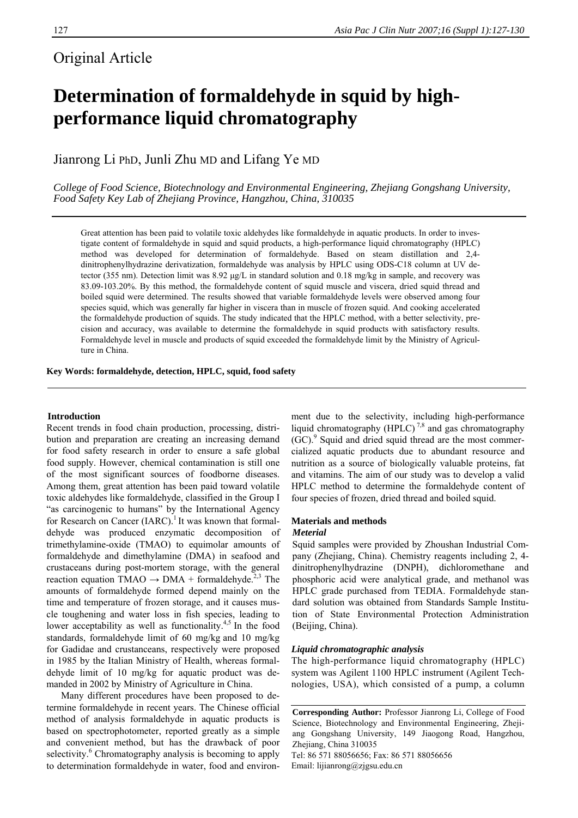## Original Article

# **Determination of formaldehyde in squid by highperformance liquid chromatography**

Jianrong Li PhD, Junli Zhu MD and Lifang Ye MD

*College of Food Science, Biotechnology and Environmental Engineering, Zhejiang Gongshang University, Food Safety Key Lab of Zhejiang Province, Hangzhou, China, 310035* 

Great attention has been paid to volatile toxic aldehydes like formaldehyde in aquatic products. In order to investigate content of formaldehyde in squid and squid products, a high-performance liquid chromatography (HPLC) method was developed for determination of formaldehyde. Based on steam distillation and 2,4 dinitrophenylhydrazine derivatization, formaldehyde was analysis by HPLC using ODS-C18 column at UV detector (355 nm). Detection limit was 8.92 μg/L in standard solution and 0.18 mg/kg in sample, and recovery was 83.09-103.20%. By this method, the formaldehyde content of squid muscle and viscera, dried squid thread and boiled squid were determined. The results showed that variable formaldehyde levels were observed among four species squid, which was generally far higher in viscera than in muscle of frozen squid. And cooking accelerated the formaldehyde production of squids. The study indicated that the HPLC method, with a better selectivity, precision and accuracy, was available to determine the formaldehyde in squid products with satisfactory results. Formaldehyde level in muscle and products of squid exceeded the formaldehyde limit by the Ministry of Agriculture in China.

**Key Words: formaldehyde, detection, HPLC, squid, food safety** 

#### **Introduction**

Recent trends in food chain production, processing, distribution and preparation are creating an increasing demand for food safety research in order to ensure a safe global food supply. However, chemical contamination is still one of the most significant sources of foodborne diseases. Among them, great attention has been paid toward volatile toxic aldehydes like formaldehyde, classified in the Group I "as carcinogenic to humans" by the International Agency for Research on Cancer  $(IARC).<sup>1</sup>$  It was known that formaldehyde was produced enzymatic decomposition of trimethylamine-oxide (TMAO) to equimolar amounts of formaldehyde and dimethylamine (DMA) in seafood and crustaceans during post-mortem storage, with the general reaction equation TMAO  $\rightarrow$  DMA + formaldehyde.<sup>2,3</sup> The amounts of formaldehyde formed depend mainly on the time and temperature of frozen storage, and it causes muscle toughening and water loss in fish species, leading to lower acceptability as well as functionality. $4,5$  In the food standards, formaldehyde limit of 60 mg/kg and 10 mg/kg for Gadidae and crustanceans, respectively were proposed in 1985 by the Italian Ministry of Health, whereas formaldehyde limit of 10 mg/kg for aquatic product was demanded in 2002 by Ministry of Agriculture in China.

Many different procedures have been proposed to determine formaldehyde in recent years. The Chinese official method of analysis formaldehyde in aquatic products is based on spectrophotometer, reported greatly as a simple and convenient method, but has the drawback of poor selectivity.<sup>6</sup> Chromatography analysis is becoming to apply to determination formaldehyde in water, food and environment due to the selectivity, including high-performance liquid chromatography (HPLC)<sup>7,8</sup> and gas chromatography (GC).<sup>9</sup> Squid and dried squid thread are the most commercialized aquatic products due to abundant resource and nutrition as a source of biologically valuable proteins, fat and vitamins. The aim of our study was to develop a valid HPLC method to determine the formaldehyde content of four species of frozen, dried thread and boiled squid.

#### **Materials and methods**  *Meterial*

Squid samples were provided by Zhoushan Industrial Company (Zhejiang, China). Chemistry reagents including 2, 4 dinitrophenylhydrazine (DNPH), dichloromethane and phosphoric acid were analytical grade, and methanol was HPLC grade purchased from TEDIA. Formaldehyde standard solution was obtained from Standards Sample Institution of State Environmental Protection Administration (Beijing, China).

### *Liquid chromatographic analysis*

The high-performance liquid chromatography (HPLC) system was Agilent 1100 HPLC instrument (Agilent Technologies, USA), which consisted of a pump, a column

Tel: 86 571 88056656; Fax: 86 571 88056656 Email: lijianrong@zjgsu.edu.cn

**Corresponding Author:** Professor Jianrong Li, College of Food Science, Biotechnology and Environmental Engineering, Zhejiang Gongshang University, 149 Jiaogong Road, Hangzhou, Zhejiang, China 310035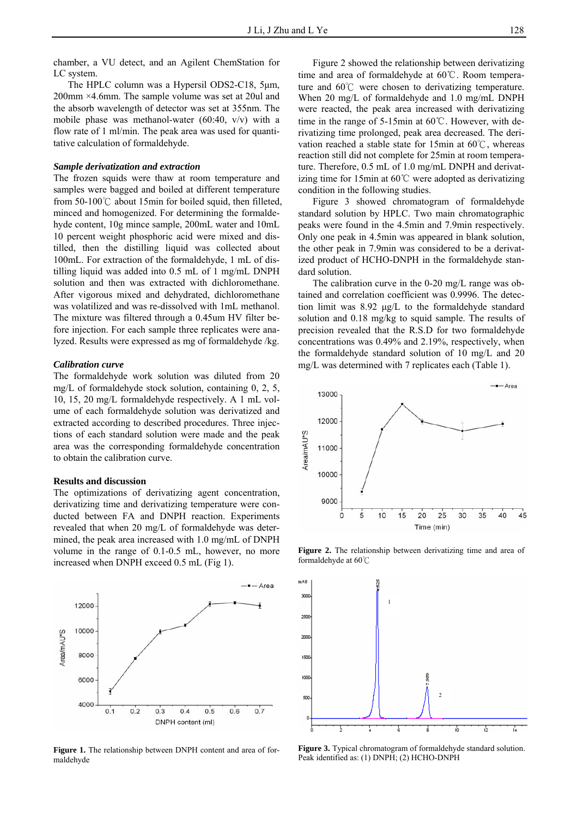chamber, a VU detect, and an Agilent ChemStation for LC system.

The HPLC column was a Hypersil ODS2-C18, 5μm, 200mm ×4.6mm. The sample volume was set at 20ul and the absorb wavelength of detector was set at 355nm. The mobile phase was methanol-water  $(60:40, v/v)$  with a flow rate of 1 ml/min. The peak area was used for quantitative calculation of formaldehyde.

#### *Sample derivatization and extraction*

The frozen squids were thaw at room temperature and samples were bagged and boiled at different temperature from 50-100℃ about 15min for boiled squid, then filleted, minced and homogenized. For determining the formaldehyde content, 10g mince sample, 200mL water and 10mL 10 percent weight phosphoric acid were mixed and distilled, then the distilling liquid was collected about 100mL. For extraction of the formaldehyde, 1 mL of distilling liquid was added into 0.5 mL of 1 mg/mL DNPH solution and then was extracted with dichloromethane. After vigorous mixed and dehydrated, dichloromethane was volatilized and was re-dissolved with 1mL methanol. The mixture was filtered through a 0.45um HV filter before injection. For each sample three replicates were analyzed. Results were expressed as mg of formaldehyde /kg.

#### *Calibration curve*

The formaldehyde work solution was diluted from 20 mg/L of formaldehyde stock solution, containing 0, 2, 5, 10, 15, 20 mg/L formaldehyde respectively. A 1 mL volume of each formaldehyde solution was derivatized and extracted according to described procedures. Three injections of each standard solution were made and the peak area was the corresponding formaldehyde concentration to obtain the calibration curve.

#### **Results and discussion**

The optimizations of derivatizing agent concentration, derivatizing time and derivatizing temperature were conducted between FA and DNPH reaction. Experiments revealed that when 20 mg/L of formaldehyde was determined, the peak area increased with 1.0 mg/mL of DNPH volume in the range of 0.1-0.5 mL, however, no more increased when DNPH exceed 0.5 mL (Fig 1).



**Figure 1.** The relationship between DNPH content and area of formaldehyde

Figure 2 showed the relationship between derivatizing time and area of formaldehyde at 60℃. Room temperature and 60℃ were chosen to derivatizing temperature. When 20 mg/L of formaldehyde and 1.0 mg/mL DNPH were reacted, the peak area increased with derivatizing time in the range of 5-15min at 60℃. However, with derivatizing time prolonged, peak area decreased. The derivation reached a stable state for 15min at 60℃, whereas reaction still did not complete for 25min at room temperature. Therefore, 0.5 mL of 1.0 mg/mL DNPH and derivatizing time for 15min at 60℃ were adopted as derivatizing condition in the following studies.

Figure 3 showed chromatogram of formaldehyde standard solution by HPLC. Two main chromatographic peaks were found in the 4.5min and 7.9min respectively. Only one peak in 4.5min was appeared in blank solution, the other peak in 7.9min was considered to be a derivatized product of HCHO-DNPH in the formaldehyde standard solution.

The calibration curve in the 0-20 mg/L range was obtained and correlation coefficient was 0.9996. The detection limit was 8.92 μg/L to the formaldehyde standard solution and 0.18 mg/kg to squid sample. The results of precision revealed that the R.S.D for two formaldehyde concentrations was 0.49% and 2.19%, respectively, when the formaldehyde standard solution of 10 mg/L and 20 mg/L was determined with 7 replicates each (Table 1).



**Figure 2.** The relationship between derivatizing time and area of formaldehyde at 60℃



**Figure 3.** Typical chromatogram of formaldehyde standard solution. Peak identified as: (1) DNPH; (2) HCHO-DNPH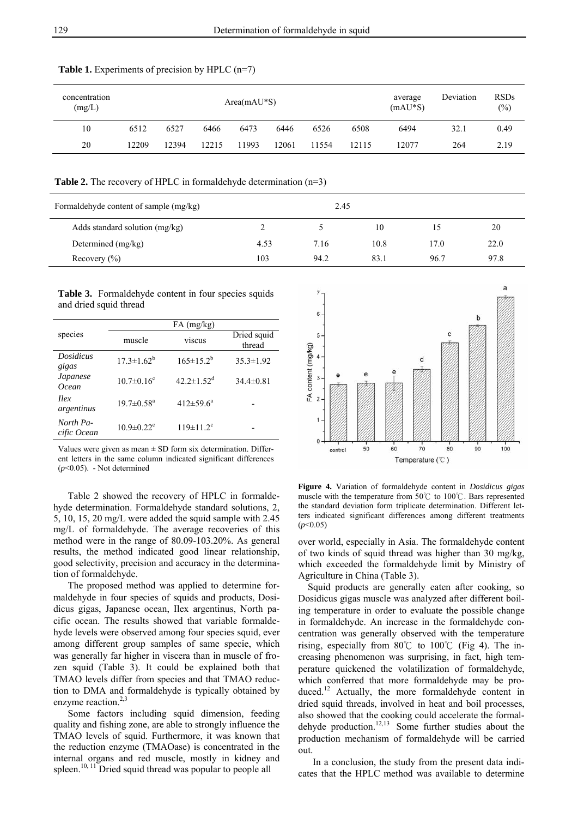| concentration<br>(mg/L) | $Area(mAU*S)$ |       |       |      |       |       | average<br>$(mAU*S)$ | Deviation | <b>RSDs</b><br>$(\%)$ |      |
|-------------------------|---------------|-------|-------|------|-------|-------|----------------------|-----------|-----------------------|------|
| 10                      | 6512          | 6527  | 6466  | 6473 | 6446  | 6526  | 6508                 | 6494      | 32.1                  | 0.49 |
| 20                      | 12209         | 12394 | 12215 | 1993 | '2061 | 11554 | 12115                | 12077     | 264                   | 2.19 |

#### Table 1. Experiments of precision by HPLC (n=7)

**Table 2.** The recovery of HPLC in formaldehyde determination (n=3)

| Formaldehyde content of sample (mg/kg) |      | 2.45 |      |      |      |
|----------------------------------------|------|------|------|------|------|
| Adds standard solution $(mg/kg)$       |      |      | 10   |      | 20   |
| Determined $(mg/kg)$                   | 4.53 | 7.16 | 10.8 | 17.0 | 22.0 |
| Recovery $(\% )$                       | 103  | 94.2 | 83.1 | 96.7 | 97.8 |

**Table 3.** Formaldehyde content in four species squids and dried squid thread

|                           | $FA$ (mg/kg)                 |                              |                       |  |  |  |  |
|---------------------------|------------------------------|------------------------------|-----------------------|--|--|--|--|
| species                   | muscle                       | viscus                       | Dried squid<br>thread |  |  |  |  |
| <b>Dosidicus</b><br>gigas | $17.3 \pm 1.62^b$            | $165 \pm 15.2^b$             | $35.3 \pm 1.92$       |  |  |  |  |
| Japanese<br><b>Ocean</b>  | $10.7 \pm 0.16^c$            | $42.2 \pm 1.52$ <sup>d</sup> | $34.4 \pm 0.81$       |  |  |  |  |
| $\eta$<br>argentinus      | $19.7 \pm 0.58$ <sup>a</sup> | $412 \pm 59.6^a$             |                       |  |  |  |  |
| North Pa-<br>cific Ocean  | $10.9 \pm 0.22$ <sup>c</sup> | $119 \pm 11.2$ <sup>c</sup>  |                       |  |  |  |  |

Values were given as mean  $\pm$  SD form six determination. Different letters in the same column indicated significant differences (*p*<0.05). - Not determined

Table 2 showed the recovery of HPLC in formaldehyde determination. Formaldehyde standard solutions, 2, 5, 10, 15, 20 mg/L were added the squid sample with 2.45 mg/L of formaldehyde. The average recoveries of this method were in the range of 80.09-103.20%. As general results, the method indicated good linear relationship, good selectivity, precision and accuracy in the determination of formaldehyde.

The proposed method was applied to determine formaldehyde in four species of squids and products, Dosidicus gigas, Japanese ocean, Ilex argentinus, North pacific ocean. The results showed that variable formaldehyde levels were observed among four species squid, ever among different group samples of same specie, which was generally far higher in viscera than in muscle of frozen squid (Table 3). It could be explained both that TMAO levels differ from species and that TMAO reduction to DMA and formaldehyde is typically obtained by enzyme reaction.<sup>2,3</sup>

Some factors including squid dimension, feeding quality and fishing zone, are able to strongly influence the TMAO levels of squid. Furthermore, it was known that the reduction enzyme (TMAOase) is concentrated in the internal organs and red muscle, mostly in kidney and spleen.<sup>10, 11</sup> Dried squid thread was popular to people all



**Figure 4.** Variation of formaldehyde content in *Dosidicus gigas* muscle with the temperature from 50℃ to 100℃. Bars represented the standard deviation form triplicate determination. Different letters indicated significant differences among different treatments  $(p<0.05)$ 

over world, especially in Asia. The formaldehyde content of two kinds of squid thread was higher than 30 mg/kg, which exceeded the formaldehyde limit by Ministry of Agriculture in China (Table 3).

Squid products are generally eaten after cooking, so Dosidicus gigas muscle was analyzed after different boiling temperature in order to evaluate the possible change in formaldehyde. An increase in the formaldehyde concentration was generally observed with the temperature rising, especially from 80°C to 100°C (Fig 4). The increasing phenomenon was surprising, in fact, high temperature quickened the volatilization of formaldehyde, which conferred that more formaldehyde may be produced.<sup>12</sup> Actually, the more formaldehyde content in dried squid threads, involved in heat and boil processes, also showed that the cooking could accelerate the formaldehyde production. $12,13$  Some further studies about the production mechanism of formaldehyde will be carried out.

In a conclusion, the study from the present data indicates that the HPLC method was available to determine